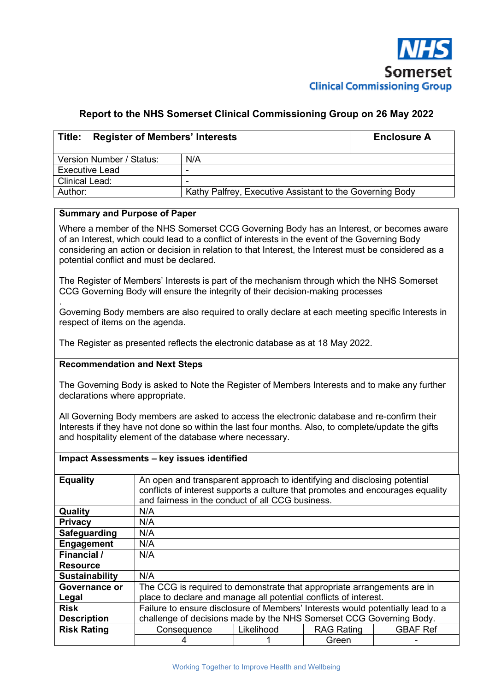

### **Report to the NHS Somerset Clinical Commissioning Group on 26 May 2022**

| Title:<br><b>Register of Members' Interests</b> | <b>Enclosure A</b>                                       |  |  |  |  |  |
|-------------------------------------------------|----------------------------------------------------------|--|--|--|--|--|
| Version Number / Status:                        | N/A                                                      |  |  |  |  |  |
| <b>Executive Lead</b>                           | -                                                        |  |  |  |  |  |
| <b>Clinical Lead:</b>                           | -                                                        |  |  |  |  |  |
| Author:                                         | Kathy Palfrey, Executive Assistant to the Governing Body |  |  |  |  |  |

### **Summary and Purpose of Paper**

Where a member of the NHS Somerset CCG Governing Body has an Interest, or becomes aware of an Interest, which could lead to a conflict of interests in the event of the Governing Body considering an action or decision in relation to that Interest, the Interest must be considered as a potential conflict and must be declared.

The Register of Members' Interests is part of the mechanism through which the NHS Somerset CCG Governing Body will ensure the integrity of their decision-making processes

. Governing Body members are also required to orally declare at each meeting specific Interests in respect of items on the agenda.

The Register as presented reflects the electronic database as at 18 May 2022.

#### **Recommendation and Next Steps**

The Governing Body is asked to Note the Register of Members Interests and to make any further declarations where appropriate.

All Governing Body members are asked to access the electronic database and re-confirm their Interests if they have not done so within the last four months. Also, to complete/update the gifts and hospitality element of the database where necessary.

|                       | Impact Assessments - key issues identified                                                                                                                                                                     |            |                   |                 |  |  |  |  |  |
|-----------------------|----------------------------------------------------------------------------------------------------------------------------------------------------------------------------------------------------------------|------------|-------------------|-----------------|--|--|--|--|--|
| <b>Equality</b>       | An open and transparent approach to identifying and disclosing potential<br>conflicts of interest supports a culture that promotes and encourages equality<br>and fairness in the conduct of all CCG business. |            |                   |                 |  |  |  |  |  |
| Quality               | N/A                                                                                                                                                                                                            |            |                   |                 |  |  |  |  |  |
| <b>Privacy</b>        | N/A                                                                                                                                                                                                            |            |                   |                 |  |  |  |  |  |
| Safeguarding          | N/A                                                                                                                                                                                                            |            |                   |                 |  |  |  |  |  |
| Engagement            | N/A                                                                                                                                                                                                            |            |                   |                 |  |  |  |  |  |
| Financial /           | N/A                                                                                                                                                                                                            |            |                   |                 |  |  |  |  |  |
| <b>Resource</b>       |                                                                                                                                                                                                                |            |                   |                 |  |  |  |  |  |
| <b>Sustainability</b> | N/A                                                                                                                                                                                                            |            |                   |                 |  |  |  |  |  |
| Governance or         | The CCG is required to demonstrate that appropriate arrangements are in                                                                                                                                        |            |                   |                 |  |  |  |  |  |
| Legal                 | place to declare and manage all potential conflicts of interest.                                                                                                                                               |            |                   |                 |  |  |  |  |  |
| <b>Risk</b>           | Failure to ensure disclosure of Members' Interests would potentially lead to a                                                                                                                                 |            |                   |                 |  |  |  |  |  |
| <b>Description</b>    | challenge of decisions made by the NHS Somerset CCG Governing Body.                                                                                                                                            |            |                   |                 |  |  |  |  |  |
| <b>Risk Rating</b>    | Consequence                                                                                                                                                                                                    | Likelihood | <b>RAG Rating</b> | <b>GBAF Ref</b> |  |  |  |  |  |
|                       |                                                                                                                                                                                                                |            | Green             |                 |  |  |  |  |  |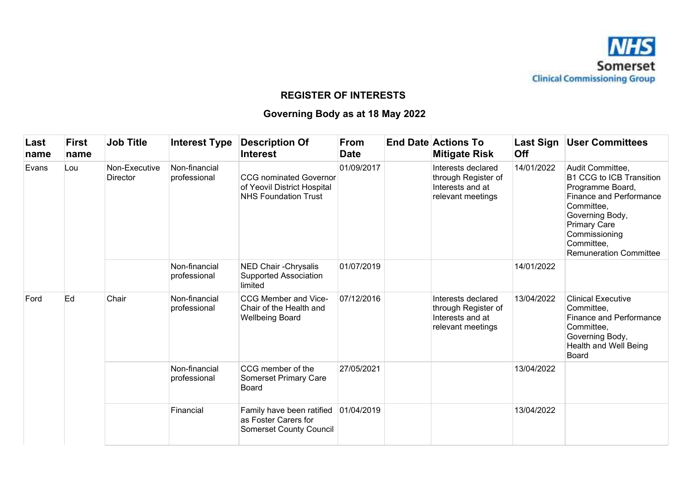

## **REGISTER OF INTERESTS**

# **Governing Body as at 18 May 2022**

| Last<br>name | <b>First</b><br>name | <b>Job Title</b>                 | <b>Interest Type</b>          | <b>Description Of</b><br><b>Interest</b>                                                    | <b>From</b><br><b>Date</b> | <b>End Date Actions To</b><br><b>Mitigate Risk</b>                                 | Last Sign<br>Off | <b>User Committees</b>                                                                                                                                                                                                            |
|--------------|----------------------|----------------------------------|-------------------------------|---------------------------------------------------------------------------------------------|----------------------------|------------------------------------------------------------------------------------|------------------|-----------------------------------------------------------------------------------------------------------------------------------------------------------------------------------------------------------------------------------|
| Evans<br>Lou |                      | Non-Executive<br><b>Director</b> | Non-financial<br>professional | <b>CCG</b> nominated Governor<br>of Yeovil District Hospital<br><b>NHS Foundation Trust</b> | 01/09/2017                 | Interests declared<br>through Register of<br>Interests and at<br>relevant meetings | 14/01/2022       | Audit Committee,<br><b>B1 CCG to ICB Transition</b><br>Programme Board,<br><b>Finance and Performance</b><br>Committee,<br>Governing Body,<br><b>Primary Care</b><br>Commissioning<br>Committee,<br><b>Remuneration Committee</b> |
|              |                      |                                  | Non-financial<br>professional | NED Chair - Chrysalis<br><b>Supported Association</b><br>limited                            | 01/07/2019                 |                                                                                    | 14/01/2022       |                                                                                                                                                                                                                                   |
| Ford         | Ed                   | Chair                            | Non-financial<br>professional | CCG Member and Vice-<br>Chair of the Health and<br><b>Wellbeing Board</b>                   | 07/12/2016                 | Interests declared<br>through Register of<br>Interests and at<br>relevant meetings | 13/04/2022       | <b>Clinical Executive</b><br>Committee,<br><b>Finance and Performance</b><br>Committee,<br>Governing Body,<br>Health and Well Being<br>Board                                                                                      |
|              |                      |                                  | Non-financial<br>professional | CCG member of the<br><b>Somerset Primary Care</b><br>Board                                  | 27/05/2021                 |                                                                                    | 13/04/2022       |                                                                                                                                                                                                                                   |
|              |                      |                                  | Financial                     | Family have been ratified<br>as Foster Carers for<br><b>Somerset County Council</b>         | 01/04/2019                 |                                                                                    | 13/04/2022       |                                                                                                                                                                                                                                   |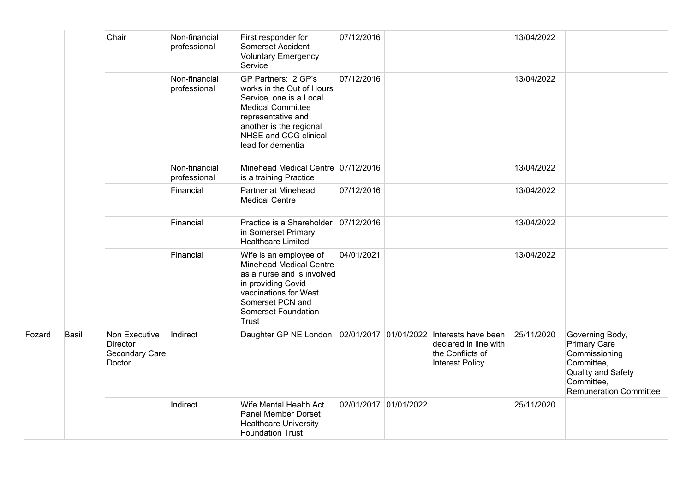|        |       | Chair                                                 | Non-financial<br>professional | First responder for<br>Somerset Accident<br><b>Voluntary Emergency</b><br>Service                                                                                                                      | 07/12/2016            |                                                              | 13/04/2022 |                                                                                                                                            |
|--------|-------|-------------------------------------------------------|-------------------------------|--------------------------------------------------------------------------------------------------------------------------------------------------------------------------------------------------------|-----------------------|--------------------------------------------------------------|------------|--------------------------------------------------------------------------------------------------------------------------------------------|
|        |       |                                                       | Non-financial<br>professional | GP Partners: 2 GP's<br>works in the Out of Hours<br>Service, one is a Local<br><b>Medical Committee</b><br>representative and<br>another is the regional<br>NHSE and CCG clinical<br>lead for dementia | 07/12/2016            |                                                              | 13/04/2022 |                                                                                                                                            |
|        |       |                                                       | Non-financial<br>professional | Minehead Medical Centre 07/12/2016<br>is a training Practice                                                                                                                                           |                       |                                                              | 13/04/2022 |                                                                                                                                            |
|        |       |                                                       | Financial                     | Partner at Minehead<br><b>Medical Centre</b>                                                                                                                                                           | 07/12/2016            |                                                              | 13/04/2022 |                                                                                                                                            |
| Fozard |       |                                                       | Financial                     | Practice is a Shareholder 07/12/2016<br>in Somerset Primary<br><b>Healthcare Limited</b>                                                                                                               |                       |                                                              | 13/04/2022 |                                                                                                                                            |
|        |       |                                                       | Financial                     | Wife is an employee of<br><b>Minehead Medical Centre</b><br>as a nurse and is involved<br>in providing Covid<br>vaccinations for West<br>Somerset PCN and<br>Somerset Foundation<br>Trust              | 04/01/2021            |                                                              | 13/04/2022 |                                                                                                                                            |
|        | Basil | Non Executive<br>Director<br>Secondary Care<br>Doctor | Indirect                      | Daughter GP NE London 02/01/2017 01/01/2022 Interests have been                                                                                                                                        |                       | declared in line with<br>the Conflicts of<br>Interest Policy | 25/11/2020 | Governing Body,<br><b>Primary Care</b><br>Commissioning<br>Committee,<br>Quality and Safety<br>Committee,<br><b>Remuneration Committee</b> |
|        |       |                                                       | Indirect                      | Wife Mental Health Act<br><b>Panel Member Dorset</b><br><b>Healthcare University</b><br><b>Foundation Trust</b>                                                                                        | 02/01/2017 01/01/2022 |                                                              | 25/11/2020 |                                                                                                                                            |

Fozard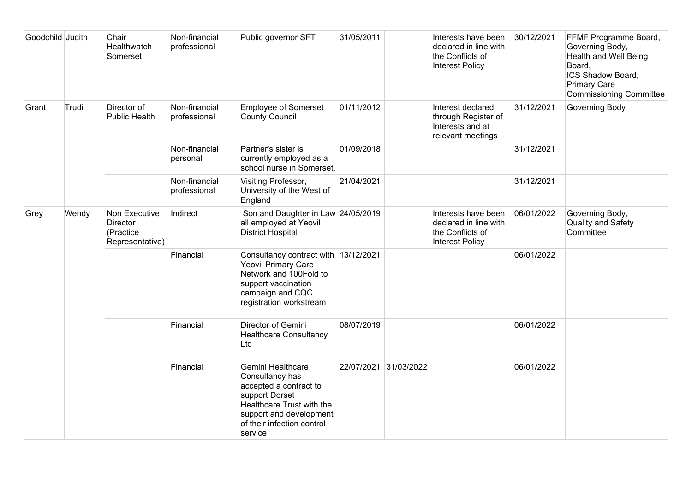| Goodchild Judith |       | Chair<br>Healthwatch<br>Somerset                          | Non-financial<br>professional | Public governor SFT                                                                                                                                                               | 31/05/2011 |                       | Interests have been<br>declared in line with<br>the Conflicts of<br><b>Interest Policy</b> | 30/12/2021 | FFMF Programme Board,<br>Governing Body,<br>Health and Well Being<br>Board,<br>ICS Shadow Board,<br><b>Primary Care</b><br><b>Commissioning Committee</b> |
|------------------|-------|-----------------------------------------------------------|-------------------------------|-----------------------------------------------------------------------------------------------------------------------------------------------------------------------------------|------------|-----------------------|--------------------------------------------------------------------------------------------|------------|-----------------------------------------------------------------------------------------------------------------------------------------------------------|
| Grant            | Trudi | Director of<br><b>Public Health</b>                       | Non-financial<br>professional | <b>Employee of Somerset</b><br><b>County Council</b>                                                                                                                              | 01/11/2012 |                       | Interest declared<br>through Register of<br>Interests and at<br>relevant meetings          | 31/12/2021 | Governing Body                                                                                                                                            |
|                  |       |                                                           | Non-financial<br>personal     | Partner's sister is<br>currently employed as a<br>school nurse in Somerset.                                                                                                       | 01/09/2018 |                       |                                                                                            | 31/12/2021 |                                                                                                                                                           |
|                  |       |                                                           | Non-financial<br>professional | Visiting Professor,<br>University of the West of<br>England                                                                                                                       | 21/04/2021 |                       |                                                                                            | 31/12/2021 |                                                                                                                                                           |
| Grey             | Wendy | Non Executive<br>Director<br>(Practice<br>Representative) | Indirect                      | Son and Daughter in Law 24/05/2019<br>all employed at Yeovil<br><b>District Hospital</b>                                                                                          |            |                       | Interests have been<br>declared in line with<br>the Conflicts of<br><b>Interest Policy</b> | 06/01/2022 | Governing Body,<br><b>Quality and Safety</b><br>Committee                                                                                                 |
|                  |       |                                                           | Financial                     | Consultancy contract with 13/12/2021<br><b>Yeovil Primary Care</b><br>Network and 100Fold to<br>support vaccination<br>campaign and CQC<br>registration workstream                |            |                       |                                                                                            | 06/01/2022 |                                                                                                                                                           |
|                  |       |                                                           | Financial                     | Director of Gemini<br><b>Healthcare Consultancy</b><br>Ltd                                                                                                                        | 08/07/2019 |                       |                                                                                            | 06/01/2022 |                                                                                                                                                           |
|                  |       |                                                           | Financial                     | Gemini Healthcare<br>Consultancy has<br>accepted a contract to<br>support Dorset<br>Healthcare Trust with the<br>support and development<br>of their infection control<br>service |            | 22/07/2021 31/03/2022 |                                                                                            | 06/01/2022 |                                                                                                                                                           |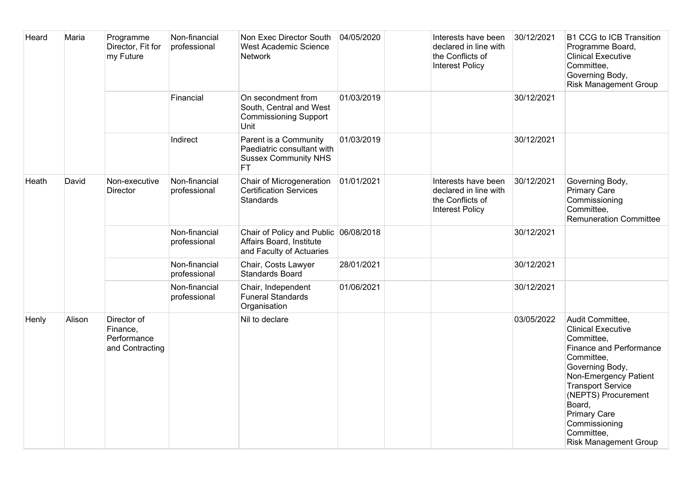| Heard | Maria  | Programme<br>Director, Fit for<br>my Future               | Non-financial<br>professional | Non Exec Director South<br><b>West Academic Science</b><br><b>Network</b>                       | 04/05/2020 | Interests have been<br>declared in line with<br>the Conflicts of<br><b>Interest Policy</b> | 30/12/2021 | <b>B1 CCG to ICB Transition</b><br>Programme Board,<br><b>Clinical Executive</b><br>Committee,<br>Governing Body,<br><b>Risk Management Group</b>                                                                                                                                                          |
|-------|--------|-----------------------------------------------------------|-------------------------------|-------------------------------------------------------------------------------------------------|------------|--------------------------------------------------------------------------------------------|------------|------------------------------------------------------------------------------------------------------------------------------------------------------------------------------------------------------------------------------------------------------------------------------------------------------------|
|       |        |                                                           | Financial                     | On secondment from<br>South, Central and West<br><b>Commissioning Support</b><br>Unit           | 01/03/2019 |                                                                                            | 30/12/2021 |                                                                                                                                                                                                                                                                                                            |
|       |        |                                                           | Indirect                      | Parent is a Community<br>Paediatric consultant with<br><b>Sussex Community NHS</b><br><b>FT</b> | 01/03/2019 |                                                                                            | 30/12/2021 |                                                                                                                                                                                                                                                                                                            |
| Heath | David  | Non-executive<br>Director                                 | Non-financial<br>professional | Chair of Microgeneration<br><b>Certification Services</b><br>Standards                          | 01/01/2021 | Interests have been<br>declared in line with<br>the Conflicts of<br><b>Interest Policy</b> | 30/12/2021 | Governing Body,<br><b>Primary Care</b><br>Commissioning<br>Committee,<br><b>Remuneration Committee</b>                                                                                                                                                                                                     |
|       |        |                                                           | Non-financial<br>professional | Chair of Policy and Public 06/08/2018<br>Affairs Board, Institute<br>and Faculty of Actuaries   |            |                                                                                            | 30/12/2021 |                                                                                                                                                                                                                                                                                                            |
|       |        |                                                           | Non-financial<br>professional | Chair, Costs Lawyer<br><b>Standards Board</b>                                                   | 28/01/2021 |                                                                                            | 30/12/2021 |                                                                                                                                                                                                                                                                                                            |
|       |        |                                                           | Non-financial<br>professional | Chair, Independent<br><b>Funeral Standards</b><br>Organisation                                  | 01/06/2021 |                                                                                            | 30/12/2021 |                                                                                                                                                                                                                                                                                                            |
| Henly | Alison | Director of<br>Finance,<br>Performance<br>and Contracting |                               | Nil to declare                                                                                  |            |                                                                                            | 03/05/2022 | Audit Committee,<br><b>Clinical Executive</b><br>Committee,<br><b>Finance and Performance</b><br>Committee,<br>Governing Body,<br>Non-Emergency Patient<br><b>Transport Service</b><br>(NEPTS) Procurement<br>Board,<br><b>Primary Care</b><br>Commissioning<br>Committee,<br><b>Risk Management Group</b> |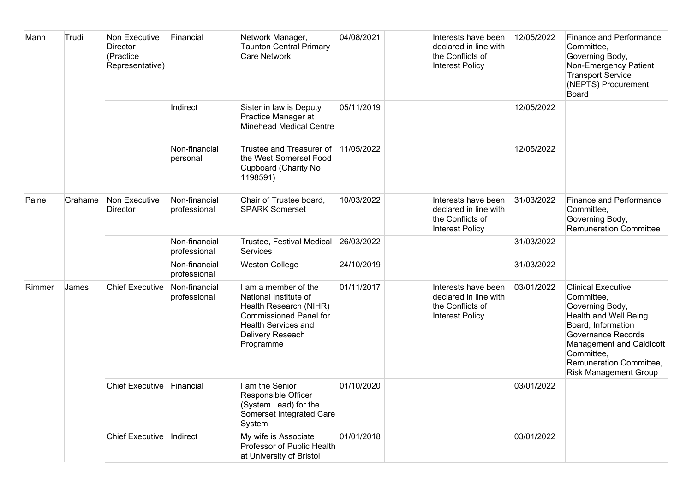| Mann   | Trudi   | Non Executive<br><b>Director</b><br>(Practice<br>Representative) | Financial                     | Network Manager,<br><b>Taunton Central Primary</b><br><b>Care Network</b>                                                                                               | 04/08/2021 | Interests have been<br>declared in line with<br>the Conflicts of<br><b>Interest Policy</b> | 12/05/2022 | <b>Finance and Performance</b><br>Committee,<br>Governing Body,<br>Non-Emergency Patient<br><b>Transport Service</b><br>(NEPTS) Procurement<br><b>Board</b>                                                                                 |
|--------|---------|------------------------------------------------------------------|-------------------------------|-------------------------------------------------------------------------------------------------------------------------------------------------------------------------|------------|--------------------------------------------------------------------------------------------|------------|---------------------------------------------------------------------------------------------------------------------------------------------------------------------------------------------------------------------------------------------|
|        |         |                                                                  | Indirect                      | Sister in law is Deputy<br>Practice Manager at<br><b>Minehead Medical Centre</b>                                                                                        | 05/11/2019 |                                                                                            | 12/05/2022 |                                                                                                                                                                                                                                             |
|        |         |                                                                  | Non-financial<br>personal     | Trustee and Treasurer of<br>the West Somerset Food<br><b>Cupboard (Charity No</b><br>1198591)                                                                           | 11/05/2022 |                                                                                            | 12/05/2022 |                                                                                                                                                                                                                                             |
| Paine  | Grahame | Non Executive<br><b>Director</b>                                 | Non-financial<br>professional | Chair of Trustee board,<br><b>SPARK Somerset</b>                                                                                                                        | 10/03/2022 | Interests have been<br>declared in line with<br>the Conflicts of<br><b>Interest Policy</b> | 31/03/2022 | <b>Finance and Performance</b><br>Committee,<br>Governing Body,<br><b>Remuneration Committee</b>                                                                                                                                            |
|        |         |                                                                  | Non-financial<br>professional | Trustee, Festival Medical<br><b>Services</b>                                                                                                                            | 26/03/2022 |                                                                                            | 31/03/2022 |                                                                                                                                                                                                                                             |
|        |         |                                                                  | Non-financial<br>professional | <b>Weston College</b>                                                                                                                                                   | 24/10/2019 |                                                                                            | 31/03/2022 |                                                                                                                                                                                                                                             |
| Rimmer | James   | <b>Chief Executive</b>                                           | Non-financial<br>professional | I am a member of the<br>National Institute of<br>Health Research (NIHR)<br><b>Commissioned Panel for</b><br><b>Health Services and</b><br>Delivery Reseach<br>Programme | 01/11/2017 | Interests have been<br>declared in line with<br>the Conflicts of<br><b>Interest Policy</b> | 03/01/2022 | <b>Clinical Executive</b><br>Committee,<br>Governing Body,<br>Health and Well Being<br>Board, Information<br>Governance Records<br><b>Management and Caldicott</b><br>Committee,<br>Remuneration Committee,<br><b>Risk Management Group</b> |
|        |         | <b>Chief Executive</b>                                           | Financial                     | am the Senior<br>Responsible Officer<br>(System Lead) for the<br>Somerset Integrated Care<br>System                                                                     | 01/10/2020 |                                                                                            | 03/01/2022 |                                                                                                                                                                                                                                             |
|        |         | Chief Executive   Indirect                                       |                               | My wife is Associate<br>Professor of Public Health<br>at University of Bristol                                                                                          | 01/01/2018 |                                                                                            | 03/01/2022 |                                                                                                                                                                                                                                             |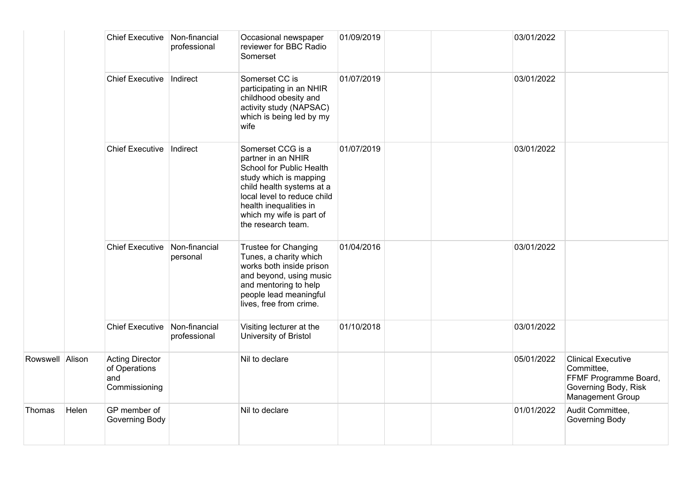|                 |       | <b>Chief Executive</b>                                          | Non-financial<br>professional | Occasional newspaper<br>reviewer for BBC Radio<br>Somerset                                                                                                                                                                            | 01/09/2019 | 03/01/2022 |                                                                                                              |
|-----------------|-------|-----------------------------------------------------------------|-------------------------------|---------------------------------------------------------------------------------------------------------------------------------------------------------------------------------------------------------------------------------------|------------|------------|--------------------------------------------------------------------------------------------------------------|
|                 |       | <b>Chief Executive</b>                                          | Indirect                      | Somerset CC is<br>participating in an NHIR<br>childhood obesity and<br>activity study (NAPSAC)<br>which is being led by my<br>wife                                                                                                    | 01/07/2019 | 03/01/2022 |                                                                                                              |
|                 |       | <b>Chief Executive</b>                                          | Indirect                      | Somerset CCG is a<br>partner in an NHIR<br>School for Public Health<br>study which is mapping<br>child health systems at a<br>local level to reduce child<br>health inequalities in<br>which my wife is part of<br>the research team. | 01/07/2019 | 03/01/2022 |                                                                                                              |
|                 |       | <b>Chief Executive</b>                                          | Non-financial<br>personal     | Trustee for Changing<br>Tunes, a charity which<br>works both inside prison<br>and beyond, using music<br>and mentoring to help<br>people lead meaningful<br>lives, free from crime.                                                   | 01/04/2016 | 03/01/2022 |                                                                                                              |
|                 |       | <b>Chief Executive</b>                                          | Non-financial<br>professional | Visiting lecturer at the<br>University of Bristol                                                                                                                                                                                     | 01/10/2018 | 03/01/2022 |                                                                                                              |
| Rowswell Alison |       | <b>Acting Director</b><br>of Operations<br>and<br>Commissioning |                               | Nil to declare                                                                                                                                                                                                                        |            | 05/01/2022 | <b>Clinical Executive</b><br>Committee,<br>FFMF Programme Board,<br>Governing Body, Risk<br>Management Group |
| Thomas          | Helen | GP member of<br>Governing Body                                  |                               | Nil to declare                                                                                                                                                                                                                        |            | 01/01/2022 | Audit Committee,<br>Governing Body                                                                           |

Thomas